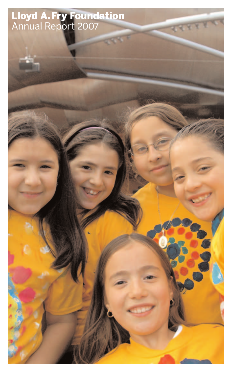1



# **Lloyd A.Fry Foundation** Annual Report 2007

95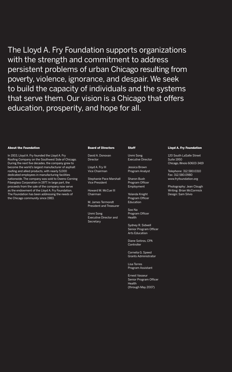The Lloyd A. Fry Foundation supports organizations with the strength and commitment to address persistent problems of urban Chicago resulting from poverty, violence, ignorance, and despair. We seek to build the capacity of individuals and the systems that serve them. Our vision is a Chicago that offers education, prosperity, and hope for all.

> Unmi Song Executive Director and **Secretary**

Yolanda Knight Program Officer **Education** 

### **Board of Directors**

David A. Donovan Director

Lloyd A. Fry III Vice Chairman

> Diane Sotiros, CPA **Controller**

Stephanie Pace Marshall Vice President

Howard M. McCue III Chairman

M. James Termondt President and Treasurer

#### **Staff**

Unmi Song Executive Director

Jessica Brown Program Analyst

Sharon Bush Program Officer Employment

Soo Na Program Officer Health

Sydney R. Sidwell Senior Program Officer Arts Education

Cornelia G. Speed Grants Administrator

Lisa Torres Program Assistant

Ernest Vasseur Senior Program Officer Health (through May 2007)

### **Lloyd A. Fry Foundation**

120 South LaSalle Street Suite 1950 Chicago, Illinois 60603-3419

Telephone: 312.580.0310 Fax: 312.580.0980 www.fryfoundation.org

Photography: Jean Clough Writing: Brian McCormick Design: Sam Silvio

### **About the Foundation**

In 1933, Lloyd A. Fry founded the Lloyd A. Fry Roofing Company on the Southwest Side of Chicago. During the next five decades, the company grew to become the world's largest manufacturer of asphalt roofing and allied products, with nearly 5,000 dedicated employees in manufacturing facilities nationwide. The company was sold to Owens-Corning Fiberglass Corporation in 1977. In large part, the proceeds from the sale of the company now serve as the endowment of the Lloyd A. Fry Foundation. The Foundation has been addressing the needs of the Chicago community since 1983.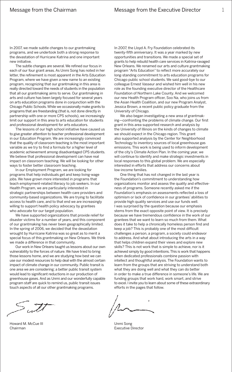In 2007, we made subtle changes to our grantmaking programs, and we undertook both a strong response to the devastation of Hurricane Katrina and one important new initiative.

The subtle changes are several. We refined our focus in each of our four grant areas. As Unmi Song has noted in her letter, the refinement is most apparent in the Arts Education Program, where we have given a new name to an existing program, recognizing that our grantmaking in this area is really directed toward the needs of students in the population that all our grantmaking aims to serve. Our grantmaking in arts and culture has been largely focused for several years on arts education programs done in conjunction with the Chicago Public Schools. While we occasionally make grants to programs that are freestanding (that is, not done directly in partnership with one or more CPS schools), we increasingly limit our support in this area to arts education for students and professional development for arts educators.

The lessons of our high school initiative have caused us to give greater attention to teacher professional development in our Education Program. We are increasingly convinced that the quality of classroom teaching is the most important variable as we try to find a formula for a higher level of academic achievement among disadvantaged CPS students. We believe that professional development can have real impact on classroom teaching. We will be looking for other ways to foster better classroom teaching.

In our Employment Program, we are looking for programs that help individuals get and keep living-wage jobs. We have grown more interested in programs that teach employment-related literacy to job seekers. In our Health Program, we are particularly interested in strategic partnerships between health-care providers and community-based organizations. We are trying to facilitate access to health care, and to that end we are increasingly willing to support health policy advocacy by grantees who advocate for our target population.

We have supported organizations that provide relief for disaster victims for a number of years, and this component of our grantmaking has never been geographically limited. In the spring of 2006, we decided that the devastation wrought by Hurricane Katrina was so great as to merit a special focus of this grantmaking on New Orleans. We think we made a difference in that community.

Our work in New Orleans taught us lessons about our own vulnerability to the forces of nature. We have tried to bring those lessons home, and we are studying how best we can use our modest resources to help deal with the almost certain impact of climate change in our community. Public transit is one area we are considering; a better public transit system would lead to significant reductions in our production of greenhouse gases. And as Unmi and our wonderfully capable program staff are quick to remind us, public transit issues touch aspects of all our other grantmaking programs.

Howard M. McCue III Chairman

In 2007, the Lloyd A. Fry Foundation celebrated its twenty-fifth anniversary. It was a year marked by new opportunities and transitions. We made a special set of grants to help rebuild health care services in Katrina-ravaged New Orleans. We renamed our arts and culture grantmaking program "Arts Education" to reflect more accurately our long-standing commitment to arts education programs for Chicago public school students. We said good-bye to our colleague Ernest Vasseur and wished him well in his new role as the founding executive director of the Healthcare Foundation of Northern Lake County. And we welcomed our new Health Program officer, Soo Na, who joins us from the Asian Health Coalition, and our new Program Analyst, Jessica Brown, a recent public policy graduate from the University of Chicago.

We also began investigating a new area of grantmaking—confronting the problems of climate change. Our first grant in this area supported research and analysis by the University of Illinois on the kinds of changes to climate we should expect in the Chicago region. This grant also supported analysis by the Center for Neighborhood Technology to inventory sources of local greenhouse gas emissions. This work is being used to inform development of the city's Climate Action Plan. In the coming year, we will continue to identify and make strategic investments in local responses to this global problem. We are especially interested in efforts that address our concerns about low-income families.

One thing that has not changed in the last year is the Foundation's commitment to understanding how organizations monitor and assess the quality and effectiveness of programs. Someone recently asked me if the Foundation's emphasis on assessments reflected a loss of optimism or lack of confidence in our grantees' abilities to provide high quality services and use our funds well. I was surprised by the question because our emphasis stems from the exact opposite point of view. It is precisely because we have tremendous confidence in the work of our grantees that we want to learn so much from them. What does it take to help a chronically homeless person find and keep a job? This is probably one of the most difficult challenges a person, a program, a society could endeavor to address. And what about introducing the arts in a way that helps children expand their views and explore new skills? This is not work that is simple to achieve, nor is it achieved simply by good intentions.This is work that happens when dedicated professionals combine passion with intellect and thoughtful analysis. The Foundation wants to learn from the groups that are striving to understand both what they are doing well and what they can do better in order to make a true difference in someone's life. We are funding groups that work hard, work smart, and strive to excel. I invite you to learn about some of these extraordinary efforts in the pages that follow.





Unmi Song Executive Director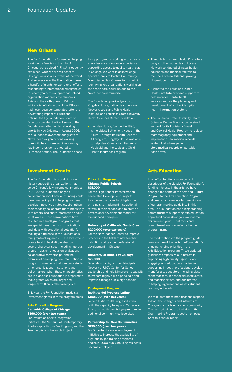The Fry Foundation is focused on helping low-income families in the city of Chicago, but as Lloyd A. Fry, Jr. eloquently explained, while we are residents of Chicago, we also are citizens of the world. And so every year the Foundation makes a handful of grants for world relief efforts responding to international emergencies. In recent years, this support has helped organizations address the tsunami in Asia and the earthquake in Pakistan. While relief efforts in the United States had never been contemplated, after the devastating impact of Hurricane Katrina, the Fry Foundation Board of Directors decided to direct some of the Foundation's attention to rebuilding efforts in New Orleans. In August 2006, the Foundation awarded four grants to New Orleans organizations working to rebuild health care services serving low-income residents affected by Hurricane Katrina. The Foundation chose

to support groups working in the health arena because of our own experience in supporting access to quality health care in Chicago. We want to acknowledge special thanks to Baptist Community Ministries in New Orleans for its help in identifying key organizations working on the health care issues unique to the New Orleans community.

- Through its Hispanic Health Promoters program, the Latino Health Access Network conducted bilingual health education and medical referrals to members of New Orleans' growing Hispanic community.
- A grant to the Louisiana Public Health Institute provided support to help improve mental health services and for the planning and development of a citywide digital health information system.
- The Louisiana State University Health Sciences Center Foundation received support for its Louisiana Breast and Cervical Health Program to replace mammography equipment and implement a new medical records system that allows patients to store medical records on portable flash drives.

### **Investment Grants** Arts Education

The Foundation provided grants to Kingsley House, Latino Health Access Network, Louisiana Public Health Institute, and Louisiana State University Health Sciences Center Foundation.

● Kingsley House, founded in 1896, is the oldest Settlement House in the South. Through its Health Care for All program, Kingsley House was able to help New Orleans families enroll in Medicaid and the Louisiana Child Health Insurance Program.

The Fry Foundation is proud of its long history supporting organizations that serve Chicago's low-income communities. In 2003, the Foundation began a conversation about how our funding could have greater impact in helping grantees develop innovative strategies, strengthen their capacity, collaborate more intensively with others, and share information about what works. These conversations have resulted in a small group of grants that are special investments in organizations and ideas with exceptional potential for making a difference in the Foundation's four grantmaking areas. These Investment grants tend to be distinguished by several characteristics, including rigorous program design, a focus on evaluation, collaborative partnerships, and the promise of developing new information or program innovations that can be useful to other organizations, institutions and policymakers. When these characteristics are in place, the Foundation is prepared to make grants which are larger and longer term than is otherwise typical.

> We think that these modifications respond to both the strengths and interests of Chicago's rich arts education community. The new guidelines are included in the Grantmaking Programs section on page 12 of this annual report.

This year the Fry Foundation made six Investment grants in three program areas.

### **Arts Education Program Columbia College of Chicago \$160,000 (over two years)**

For Evaluation of Arts Integration Initiatives, the Museum of Contemporary Photography Picture Me Program, and the Teaching Artists Research Project

### **Education Program Chicago Public Schools \$75,000**

For the High School Transformation Leadership Development Project: to improve the capacity of high school principals to implement instructional reform in their schools and to create a professional development model for experienced principals

### **University of California, Santa Cruz \$200,000 (over two years)**

For the New Teacher Center to improve practices in the fields of new teacher induction and teacher professional development in Chicago

### **University of Illinois at Chicago \$75,000**

To establish a high school Principals' Network at UIC's Center for School Leadership and help it improve its capacity to prepare highly skilled principals and improve Chicago public high schools

### **Employment Program**

### **Instituto del Progreso Latino \$150,000 (over two years)**

To help Instituto del Progreso Latino build the capacity to expand Carreras en Salud, its health care bridge program, to additional community college sites

### **Partnership for New Communities \$150,000 (over two years)** For Opportunity Works employment initiative to increase the availability of high-quality job training programs and help 3,000 public housing residents become employed

In an effort to offer a more current description of the Lloyd A. Fry Foundation's funding interests in the arts, we have changed the name of the Arts and Culture Program to the Arts Education Program and created a more detailed description of our grantmaking guidelines in this area. The Foundation has a long-standing commitment to supporting arts education opportunities for Chicago's low-income children and youth. That focus and commitment are now reflected in the program name.

The modifications to the program guidelines are meant to clarify the Foundation's ongoing funding priorities in the Arts Education program. These updated guidelines emphasize our interest in supporting high quality, rigorous, and engaging arts education experiences, in supporting in-depth professional development for arts educators, including classroom teachers, in-school arts instructors, and teaching artists, and our interest in helping organizations assess student learning in the arts.

### **New Orleans**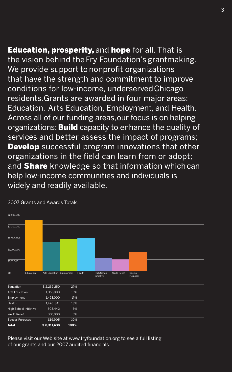**Education, prosperity,** and **hope** for all. That is the vision behind the Fry Foundation's grantmaking. We provide support to nonprofit organizations that have the strength and commitment to improve conditions for low-income, underserved Chicago residents.Grants are awarded in four major areas: Education, Arts Education, Employment, and Health. Across all of our funding areas,our focus is on helping organizations: **Build** capacity to enhance the quality of services and better assess the impact of programs; **Develop** successful program innovations that other organizations in the field can learn from or adopt; and **Share** knowledge so that information which can help low-income communities and individuals is widely and readily available.

| <b>Total</b>            | \$8,311,438 | 100% |  |
|-------------------------|-------------|------|--|
| <b>Special Purposes</b> | 819,905     | 10%  |  |
| <b>World Relief</b>     | 500,000     | 6%   |  |
| High School Initiative  | 503,442     | 6%   |  |
| <b>Health</b>           | 1,476,841   | 18%  |  |
| Employment              | 1,423,000   | 17%  |  |
| Arts Education          | 1,356,000   | 16%  |  |



## 2007 Grants and Awards Totals

Please visit our Web site at www.fryfoundation.org to see a full listing of our grants and our 2007 audited financials.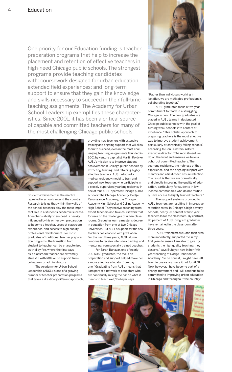Student achievement is the mantra repeated in schools around the country. Research tells us that within the walls of the school, teachers play the most important role in a student's academic success. A teacher's ability to succeed is heavily influenced by his or her own preparation to become a teacher, years of classroom experience, and access to high quality professional development. For most graduates of traditional teacher preparation programs, the transition from student to teacher can be characterized as trial by fire, where the first days as a classroom teacher are extremely stressful with little or no support from colleagues or administrators.

The Academy for Urban School Leadership (AUSL) is one of a growing number of teacher preparation programs that takes a drastically different approach, providing new teachers with extensive training and ongoing support that will allow them to succeed, even in the most challenging teaching assignments.Founded in 2001 by venture capitalist Martin Koldyke, AUSL's mission is to improve student achievement in Chicago public schools by attracting, training, and retaining highly effective teachers. AUSL adopted a medical residency model to train and support new teachers who participate in a closely supervised yearlong residency in one of four AUSL-operated Chicago public schools: The Chicago Academy, Dodge Renaissance Academy, the Chicago Academy High School, and Collins Academy High School. They receive coaching from expert teachers and take coursework that focuses on the challenges of urban classrooms. Graduates earn a master's degree in education from one of two Chicago universities. But AUSL's support for the new teachers does not end with graduation. For the next three years, AUSL alumni continue to receive intensive coaching and mentoring from specially trained coaches.

For Sarah Buhayar, one of nearly 200 AUSL graduates, the focus on preparation and support helped make her a more effective educator from day one. "Graduating from AUSL means that I am part of a network of educators who are continually raising the bar on what it means to teach well," Buhayar says.



One priority for our Education funding is teacher preparation programs that help to increase the placement and retention of effective teachers in high-need Chicago public schools. The strongest programs provide teaching candidates with: coursework designed for urban education; extended field experiences; and long-term support to ensure that they gain the knowledge and skills necessary to succeed in their full-time teaching assignments. The Academy for Urban School Leadership exemplifies these characteristics. Since 2001, it has been a critical source of capable and committed teachers for many of the most challenging Chicago public schools.



"Rather than individuals working in isolation, we are motivated professionals collaborating together."

AUSL graduates make a five-year commitment to teach in a struggling Chicago school. The new graduates are placed in AUSL teams in designated Chicago public schools with the goal of turning weak schools into centers of excellence. "This holistic approach to preparing teachers is the most effective way to improve student achievement, particularly at chronically failing schools," according to Don Feinstein, AUSL's executive director. "The recruitment we do on the front end ensures we have a cohort of committed teachers. The yearlong residency, the richness of that experience, and the ongoing support with mentors and a field coach ensure retention. The result is that we are dramatically and directly improving the quality of education, particularly for students in lowincome communities who do not routinely have access to highly trained teachers."

The support systems provided to AUSL teachers are resulting in impressive retention rates. In Chicago's high poverty schools, nearly 25 percent of first-year teachers leave the classroom. By contrast, 95 percent of AUSL program graduates have remained in the classroom after three years.

"AUSL trained me well, and then even more importantly, supported me in my first years to ensure I am able to give my students the high quality teaching they deserve," says Buhayar, now in her fifth year teaching at Dodge Renaissance Academy. "To be honest, I might have left teaching years ago were it not for AUSL. Now, however, I have become part of a change movement and I will continue to be committed to improving urban education in Chicago and throughout the country."

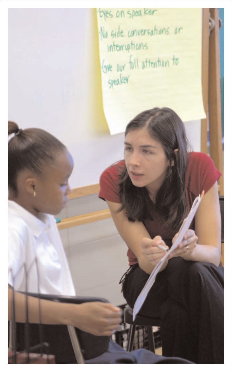tyes on speaker No side conversations or Give our full attention to

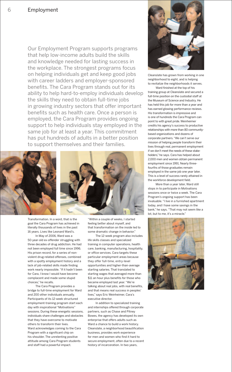Our Employment Program supports programs that help low-income adults build the skills and knowledge needed for lasting success in the workplace. The strongest programs focus on helping individuals get and keep good jobs with career ladders and employer-sponsored benefits. The Cara Program stands out for its ability to help hard-to-employ individuals develop the skills they need to obtain full-time jobs in growing industry sectors that offer important benefits such as health care. Once a person is employed, the Cara Program provides ongoing support to help individuals stay employed in the same job for at least a year. This commitment has put hundreds of adults in a better position to support themselves and their families.





Transformation. In a word, that is the goal the Cara Program has achieved in literally thousands of lives in the past 16 years. Lives like Leonard Ward's.

In May of 2006, Ward was a 50-year-old ex-offender struggling with three decades of drug addiction. He had not been employed full time since 1996. His prison record, for a series of nonviolent drug-related offenses, combined with a spotty employment history and a lack of job-related skills made finding work nearly impossible. "If it hadn't been for Cara, I know I would have become complacent and made some stupid choices," he recalls.

The Cara Program provides a bridge to full-time employment for Ward

and 200 other individuals annually. Participants of its 12-week structured employment-training program start each day with inspirational "Motivations" sessions. During these energetic sessions, individuals share challenges and obstacles that they have overcome to motivate others to transform their lives. Ward acknowledges coming to the Cara Program with a significant chip on his shoulder. The unrelenting positive attitude among Cara Program students and staff had a powerful impact.

"Within a couple of weeks, I started feeling better about myself, and that transformation on the inside led to some dramatic change in behavior."

The 12-week program also includes life skills classes and specialized training in computer operations, health care, banking, manufacturing, hospitality, or office services. Cara targets these particular employment areas because they offer full-time, entry-level opportunities and higher-than-average starting salaries. That translated to starting wages that averaged more than \$11 an hour plus benefits for those who became employed last year. "We're talking about real jobs, with real benefits, and that means real success in peoples' lives," says Eric Weinheimer, Cara's executive director. In addition to specialized training and internships offered through corporate partners, such as Chase and Pitney Bowes, the agency has developed its own enterprise that offers adults such as Ward a chance to build a work history. Cleanslate, a neighborhood beautification business, provides work experience for men and women who find it hard to secure employment, often due to a recent history of incarceration. In two years,



Cleanslate has grown from working in one neighborhood to eight, and is helping to revitalize the neighborhoods it serves.

Ward finished at the top of his training group at Cleanslate and secured a full-time position on the custodial staff at the Museum of Science and Industry. He has held this job for more than a year and has earned glowing performance reviews. His transformation is impressive and is one of hundreds the Cara Program can point to with great pride. Weinheimer credits his agency's success to productive relationships with more than 80 communitybased organizations and dozens of corporate partners. "We can't serve our mission of helping people transform their lives through real, permanent employment if we don't meet the needs of these stakeholders," he says. Cara has helped about 2,000 men and women obtain permanent employment since 1991. Nearly threefourths of those graduates remain employed in the same job one year later. This is a level of success rarely attained in the workforce development field.

More than a year later, Ward still stops in to participate in Motivations sessions once or twice a week. The Cara Program's ongoing support has been invaluable. "I live in a furnished apartment today, and I have some savings in the bank," he says. "That may not seem like a lot, but to me, it's a miracle."

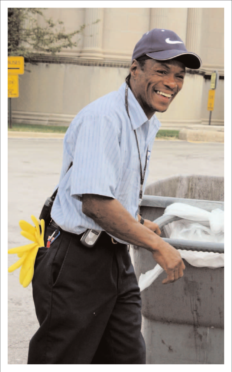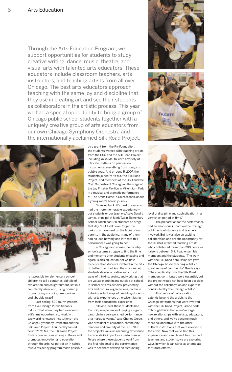Through the Arts Education Program, we support opportunities for students to study creative writing, dance, music, theatre, and visual arts with talented arts educators. These educators include classroom teachers, arts instructors, and teaching artists from all over Chicago. The best arts educators approach teaching with the same joy and discipline that they use in creating art and see their students as collaborators in the artistic process. This year we had a special opportunity to bring a group of Chicago public school students together with a uniquely creative group of arts educators from our own Chicago Symphony Orchestra and the internationally acclaimed Silk Road Project.





Is it possible for elementary school children to tell a centuries-old tale of exploration and enlightenment, set in a completely alien land, using primarily

drums, bongos, sticks, tambourines and...bubble wrap?

Last spring, 500 fourth graders from five Chicago Public Schools did just that when they had a once-ina-lifetime opportunity to work with two world-renowned institutions—the Chicago Symphony Orchestra and the Silk Road Project. Founded by famed cellist Yo-Yo Ma, the Silk Road Project fosters connections among cultures and promotes innovation and education through the arts. As part of an in-school music residency program made possible

by a grant from the Fry Foundation, the students worked with teaching artists from the CSO and the Silk Road Project, including Yo-Yo Ma, to learn a variety of intricate rhythms on percussion instruments: everything from bongos to bubble wrap. And on June 5, 2007, the students joined Yo-Yo Ma, the Silk Road Project, and members of the CSO and the Civic Orchestra of Chicago on the stage of the Jay Pritzker Pavilion in Millennium Park in a musical and dramatic performance of "The Stone Horse," a Chinese fable about a young man's heroic journey.

"Looking back, it's hard to say who had the more memorable experience our students or our teachers," says Sandra James, principal at Mark Twain Elementary School, which had 120 students on stage that day. "But I will never forget the looks of amazement on the faces of our parents in the audience; many of them had no idea how big and intricate this performance was going to be."

In Chicago and across the country, school systems struggle to find the time and money to offer students engaging and rigorous arts education. Yet we have evidence that students involved in the arts do better in school. And the arts can help students develop creative and critical ways of thinking, seeing, and working that are valuable both in and outside of school. In-school arts residencies, provided by arts and cultural organizations, continue to be important ways of providing students with arts experiences otherwise missing from their educational experience. "On one level, these students had the unique experience of playing a significant role in a very polished performance at a marquee venue," says Charles Grode, vice president of education, community relations and diversity at the CSO. "But the project's value as a learning experience transcends its impact as a performance. To see where these students went from the first rehearsal to the performance was to see them develop an astounding







level of discipline and sophistication in a very short period of time."

The preparation for the performance had an enormous impact on the Chicago public school students and teachers involved. But it was also an exciting collaboration and artistic opportunity for the 10 CSO-affiliated teaching artists who contributed more than 200 hours as liaisons between Silk Road ensemble members and the students. "The work with the Silk Road percussionists gave the Chicago-based teaching artists a great sense of community," Grode says. "The specific rhythms the Silk Road members contributed were essential, but the project would not have been possible without the collaboration and expertise contributed by the Chicago artists." That sense of collaboration extends beyond the artists to the Chicago institutions that were involved with the Silk Road Project, Grode adds. "Through this initiative we've forged new relationships with artists, educators, and others, and we've become much more collaborative with the other cultural institutions that were involved in the effort. Now that we've had this experience and seen how it has touched teachers and students, we are exploring ways in which it can serve as a template for future efforts."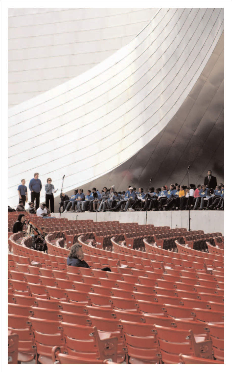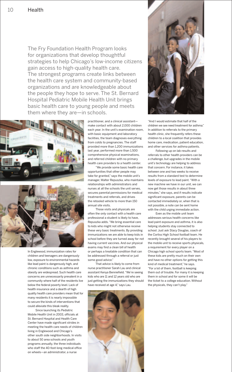The Fry Foundation Health Program looks for organizations that develop thoughtful strategies to help Chicago's low-income citizens gain access to high-quality health care. The strongest programs create links between the health care system and community-based organizations and are knowledgeable about the people they hope to serve. The St. Bernard Hospital Pediatric Mobile Health Unit brings basic health care to young people and meets them where they are—in schools.





In Englewood, immunization rates for children and teenagers are dangerously low, exposure to environmental hazards like lead paint is dangerously high, and chronic conditions such as asthma and obesity are widespread. Such health care concerns are unnecessarily prevalent in a community where half of the residents live below the federal poverty level. Lack of health insurance and a dearth of high quality health care providers mean that for many residents it is nearly impossible to secure the kinds of interventions that could alleviate this bleak reality. Since launching its Pediatric Mobile Health Unit in 2003, officials at St. Bernard Hospital and Health Care Center have made significant strides in meeting the health care needs of children living in Englewood and Chicago's other south side neighborhoods. In visits to about 50 area schools and youth programs annually, the three individuals who staff the 40-foot-long medical office on wheels—an administrator, a nurse

practitioner, and a clinical assistant make contact with about 2,000 children each year. In the unit's examination room, with basic equipment and laboratory facilities, the team diagnoses everything from colds to pregnancies. The staff provided more than 1,200 immunizations last year, performed more than 1,500 comprehensive physical examinations, and referred children with no primary health care providers to a health center.

"We provide some basic health care opportunities that other people may take for granted," says the mobile unit's manager, Walter Repuszka, who maintains relationships with administrators and nurses at all the schools the unit serves, secures parental permissions for medical treatments and referrals, and drives the retooled vehicle to more than 150 annual site visits.

Those visits and physicals are often the only contact with a health care professional a student is likely to have, Repuszka adds. "We bring essential care to kids who might not otherwise receive these very basic treatments. By providing immunizations we are able to keep kids in school before they are turned away for not having current vaccines. And our physical exams may find a clean bill of health or perhaps a treatable condition that can be addressed through a referral or just some good advice."

That advice is likely to come from nurse practitioner Sarah Lau and clinical assistant Kenya Benniefield. "We're seeing kids who are 11 and 12 years old who are just getting the immunizations they should have received at age 4," says Lau.



"And I would estimate that half of the children we see need treatment for asthma." In addition to referrals to the primary health clinic, she frequently refers these children to a local coalition that provides home care, medication, patient education, and other services for asthma patients.

Following up on lab results and referrals to other health providers can be a challenge, but upgrades in the mobile unit's technology are helping to address that concern. For instance, it takes between one and two weeks to receive results from a standard test to determine levels of exposure to lead paint. "With a new machine we have in our unit, we can now get those results in about three minutes," she says, and if results indicate significant exposure, parents can be contacted immediately or, when that is not possible, a note can be sent home with the child urging immediate action.

Even as the mobile unit team addresses serious health concerns like lead paint exposure and asthma, it is also helping students stay connected to school. Just ask Stacy Douglas, coach of the Corliss High School football team. He recently brought several of his players to the mobile unit to receive sports physicals, a requirement for every player on a Chicago high school sports team. "Most of these kids are pretty much on their own and have no other options for getting this kind of medical treatment," he says. "For a lot of them, football is keeping them out of trouble. For many it is keeping them in school and for some it will be the ticket to a college education. Without the physicals, they can't play."

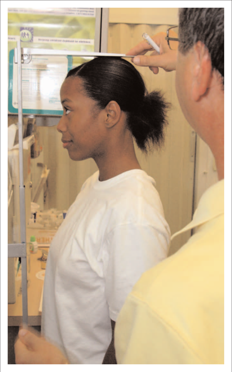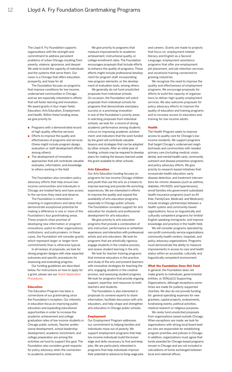The Lloyd A. Fry Foundation supports organizations with the strength and commitment to address persistent problems of urban Chicago resulting from poverty, violence, ignorance, and despair. We seek to build the capacity of individuals and the systems that serve them. Our vision is a Chicago that offers education, prosperity, and hope for all.

The Foundation focuses on programs that improve conditions for low-income, underserved communities in Chicago, and we are especially interested in efforts that will foster learning and innovation. We award grants in four major fields: Education, Arts Education, Employment, and Health. Within these funding areas, we give priority to:

- Programs with a demonstrated record of high quality, effective services
- Efforts to improve the quality and effectiveness of programs and services (these might include program design, evaluation or staff development efforts, among others)
- The development of innovative approaches that will contribute valuable examples, information, and knowledge to others working in the field

The Foundation also considers policy advocacy efforts that help ensure lowincome communities and individuals in Chicago are treated fairly and have access to the services they need and deserve.

The Foundation is interested in investing in organizations and ideas that demonstrate exceptional potential for making a difference in one or more of the Foundation's four grantmaking areas. These projects show promise of developing new information or program innovations useful to other organizations, institutions, and policymakers. In these cases, the Foundation will consider grants which represent larger or longer-term commitments than is otherwise typical.

In all reviews of proposals, we look for strong program designs with clear expected outcomes and specific procedures for assessing and evaluating progress.

Our funding guidelines are described below. For instructions on how to apply for a grant, please see our Grant Application Procedures.

### **Education**

The Education Program has been a cornerstone of our grantmaking since the Foundation's inception. Our interests in education focus on improving public education and expanding educational opportunities in order to increase the academic achievement and college graduation rates of low-income students in Chicago public schools. Teacher professional development, school leadership development, academic enrichment, and college preparation are among the activities we fund to support this goal. The Foundation also considers grant requests for policy advocacy when the connection to academic achievement is clear.

We give priority to programs that measure improvements to academic achievement, instructional quality, or college enrollment rates. The Foundation encourages proposals that include efforts to enhance the quality of programs. These efforts might include professional development for program staff, incorporating new program elements, or the development of evaluation tools, among others.

We generally do not fund unsolicited proposals from individual schools. On occasion, the Foundation will solicit proposals from individual schools for programs that demonstrate exemplary success or a promising innovation in one of the Foundation's priority areas. In soliciting proposals from individual schools, we look for: a record of strong academic performance among students; a focus on improving academic achievement; and indicators that the work funded by the grant will contribute valuable lessons and strategies that can be adopted by other schools. After an initial year of funding, schools may be required to develop plans for making the lessons learned under the grant available to other schools.

### **Arts Education**

Our Arts Education funding focuses on programs for low-income Chicago children and youth that use the arts as a means to improve learning and provide life-enriching experiences. We are interested in efforts to improve the quality and expand the availability of arts education programs, especially in Chicago public schools. The Foundation considers support for arts education for students and professional development for arts educators.

We give priority to arts education programs that provide a combination of arts instruction, performance or exhibition experience, and interaction with professional artists and arts educators. We look for programs that are artistically rigorous, engage students in the creative process, and assess student learning in the arts.

We look for teacher-training programs that immerse educators in the practice and study of the arts and present teachers with innovative strategies for teaching the arts, engaging students in the creative process, and assessing student progress. We look for programs that provide ongoing support, expertise, and resources to both teachers and students.

The Foundation is also interested in proposals to convene experts to share information, facilitate discussion with arts educators, and help shape and strengthen arts education in Chicago public schools.

### **Employment**

Our Employment Program addresses our commitment to helping families and individuals move out of poverty. We support employment programs that help low-income individuals build the knowledge and skills necessary to find and keep jobs. We are particularly interested in programs that help individuals improve their potential to advance to living-wage jobs and careers. Grants are made to projects that focus on: employment-related literacy and English as a Second Language; employment assistance programs that offer pre-employment, job placement, and job retention services; and vocational training connected to growing industries.

We recognize the need to improve the quality and effectiveness of employment programs. We encourage proposals for efforts to build the capacity of organizations to deliver high-quality employment services. We also welcome proposals for policy advocacy efforts to improve the quality of education and training programs and to increase access to education and training for low-income adults.

### **Health**

The Health Program seeks to improve access to quality care for Chicago's lowincome residents. We support programs that target Chicago's underserved neighborhoods and communities with needed primary care (including medical, vision, dental, and mental health care), community outreach and disease prevention programs, and policy advocacy efforts. We give priority to research-based initiatives that: incorporate health education, early disease detection, and treatment interventions for chronic diseases (such as asthma, diabetes, HIV/AIDS, and hypertension); enroll families into government-subsidized health insurance programs (such as All Kids, FamilyCare, Medicaid, and Medicare); include strategic partnerships between a health system and community-based organizations; focus on linguistically and culturally competent programs for limited-English speaking immigrants; and improve knowledge and practice in the health field.

We will consider programs operated by non-profit community service organizations, community health centers, hospitals, and policy advocacy organizations. Programs must demonstrate the ability to measure improvements in access to care and health status within an accessible, culturally and linguistically competent environment.

### **What the Foundation Does Not Fund**

In general, the Foundation does not make grants to individuals, governmental entities, or 509(a)(3) Supporting Organizations, although exceptions sometimes are made for publicly supported charities. We also do not provide funding for: general operating expenses for new grantees, capital projects, endowments, fundraising events, political activities, medical research or religious purposes. We rarely fund unsolicited proposals from organizations based outside Chicago. When exceptions are made, we look for organizations with strong local board leaders who are responsible for establishing program priorities and policies in Chicago. In addition, organizations must agree that funds awarded for Chicago-based programs remain in Chicago and are not included in calculations of funds exchanged between local and national offices.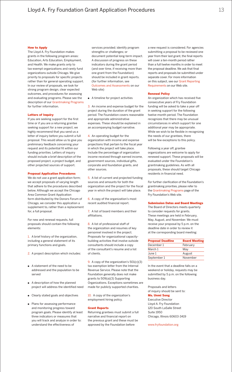### Lloyd A. Fry Foundation Grant Application Procedures 13

### **How to Apply**

The Lloyd A. Fry Foundation makes grants in the following program areas: Education, Arts Education, Employment, and Health. We make grants only to tax-exempt organizations and rarely fund organizations outside Chicago. We give priority to proposals for specific projects rather than for general operating support. In our review of proposals, we look for strong program design, clear expected outcomes, and procedures for assessing and evaluating programs. Please see the description of our Grantmaking Programs for further information.

#### **Letters of Inquiry**

If you are seeking support for the first time or if you are a returning grantee seeking support for a new project, we highly recommend that you send us a letter of inquiry before you submit a full proposal. This would allow us to give you preliminary feedback concerning your request and its potential fit within our funding priorities. Letters of inquiry should include a brief description of the proposed project, a project budget, and other projected sources of support.

### **Proposal Application Procedures**

We do not use a grant application form; we accept proposals of varying length that adhere to the procedures described below. Although we accept the Chicago Area Common Grant Application form distributed by the Donors Forum of Chicago, we consider this application a supplement to, rather than a replacement for, a full proposal.

For new and renewal requests, full proposals should contain the following elements:

1. A brief history of the organization, including a general statement of its primary functions and goals.

- 2. A project description which includes:
- A statement of the need to be addressed and the population to be served
- A description of how the planned project will address the identified need

- Clearly stated goals and objectives
- Plans for assessing performance and monitoring progress toward program goals. Please identify at least three indicators or measures that you will track and analyze in order to: understand the effectiveness of

services provided; identify program strengths or challenges; or document potential long-term impact. A discussion of progress on these indicators during the grant period (and over time, if receiving more than one grant from the Foundation) should be included in grant reports. (for further information, see Outcomes and Assessments on our Web site)

● A timeline for project activities

3. An income and expense budget for the project during the duration of the grant period. The Foundation covers reasonable and appropriate administrative expenses. These should be explained in an accompanying budget narrative.

4. An operating budget for the organization with income and expense projections that pertain to the fiscal year in which the project will take place. Include the percentage of organization income received through earned income, government sources, individual gifts, corporate and foundation grants, and other sources.

5. A list of current and projected funding sources and amounts for both the organization and the project for the fiscal year in which the project will take place.

6. A copy of the organization's most recent audited financial report.

7. A list of board members and their affiliations.

8. A list of professional staff of the organization and resumes of key personnel involved in the project. Proposals for organizational capacitybuilding activities that involve outside consultants should include a copy of the consultant's resume and a list of clients.

9. A copy of the organization's 501(c)(3) tax exemption letter from the Internal Revenue Service. Please note that the Foundation generally does not make grants to 509(a)(3) Supporting Organizations. Exceptions sometimes are made for publicly supported charities.

10. A copy of the organization's employment hiring policy.

### **Grant Reports**

Returning grantees must submit a full narrative and financial report on the previous grant and these must be approved by the Foundation before

a new request is considered. For agencies submitting a proposal to be reviewed one year from their last grant, the final reports will cover a ten-month period rather than a full twelve months in order to meet the proposal deadline. We ask that final reports and proposals be submitted under separate cover. For more information on this subject, see our Grant Reporting Requirements on our Web site.

### **Renewal Policy**

An organization which has received five consecutive years of Fry Foundation funding will be asked to take a year off in seeking support for the following twelve-month period. The Foundation recognizes that there may be unusual circumstances in which support for one additional year may be appropriate. While we wish to be flexible in recognizing the needs of our grantees, there will be few exceptions to this policy.

Following a year off, grantee organizations are welcome to apply for renewed support. These proposals will be evaluated under the Foundation's grantmaking guidelines. As with all proposals, these should target Chicago residents in financial need.

For further clarification of the Foundation's grantmaking priorities, please refer to the Grantmaking Programs page of the Fry Foundation's Web site.

#### **Submission Dates and Board Meetings**

The Board of Directors meets quarterly to consider requests for grants. These meetings are held in February, May, August, and November. We must receive your proposal by 5 p.m. on the deadline date in order to review it at the corresponding board meeting:

| <b>Proposal Deadline</b> | <b>Board Meeting</b> |
|--------------------------|----------------------|
| December 1               | February             |
| March 1                  | May                  |
| June 1                   | August               |
| September 1              | November             |
|                          |                      |

In the event that a deadline falls on a weekend or holiday, requests may be submitted by 5 p.m. on the following business day.

Proposals and letters

of inquiry should be sent to:

### **Ms. Unmi Song**

Executive Director

Lloyd A. Fry Foundation 120 South LaSalle Street Suite 1950 Chicago, Illinois 60603-3419

www.fryfoundation.org